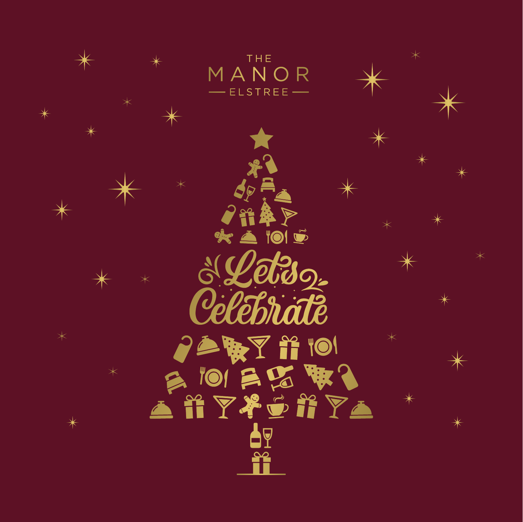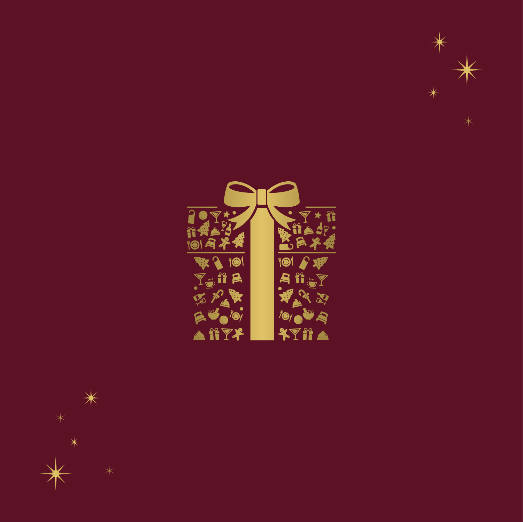



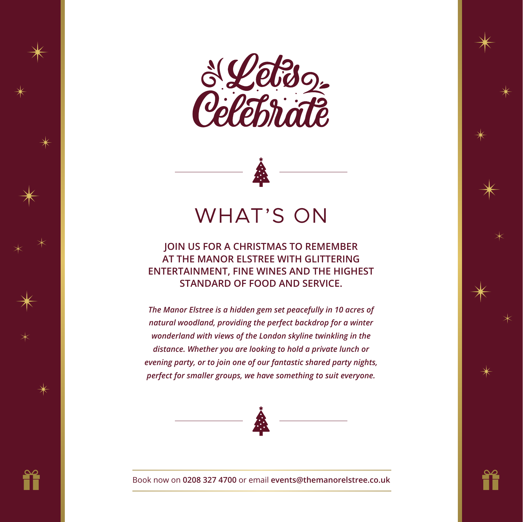



## WHAT'S ON

**JOIN US FOR A CHRISTMAS TO REMEMBER AT THE MANOR ELSTREE WITH GLITTERING ENTERTAINMENT, FINE WINES AND THE HIGHEST STANDARD OF FOOD AND SERVICE.**

*The Manor Elstree is a hidden gem set peacefully in 10 acres of natural woodland, providing the perfect backdrop for a winter wonderland with views of the London skyline twinkling in the distance. Whether you are looking to hold a private lunch or evening party, or to join one of our fantastic shared party nights, perfect for smaller groups, we have something to suit everyone.*

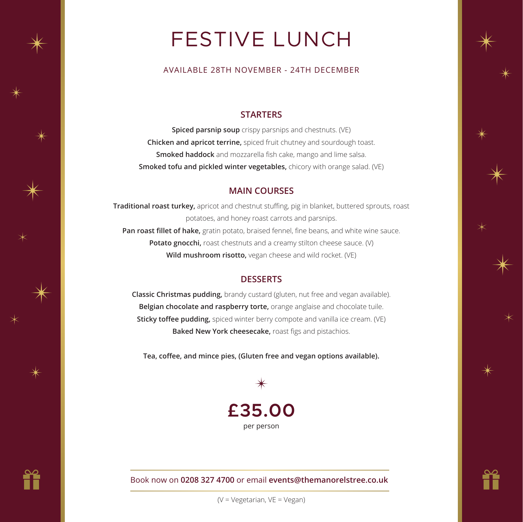# FESTIVE LUNCH

### AVAILABLE 28TH NOVEMBER - 24TH DECEMBER

### **STARTERS**

**Spiced parsnip soup** crispy parsnips and chestnuts. (VE) **Chicken and apricot terrine,** spiced fruit chutney and sourdough toast. **Smoked haddock** and mozzarella fish cake, mango and lime salsa. **Smoked tofu and pickled winter vegetables,** chicory with orange salad. (VE)

### **MAIN COURSES**

**Traditional roast turkey,** apricot and chestnut stuffing, pig in blanket, buttered sprouts, roast potatoes, and honey roast carrots and parsnips. **Pan roast fillet of hake,** gratin potato, braised fennel, fine beans, and white wine sauce. **Potato gnocchi,** roast chestnuts and a creamy stilton cheese sauce. (V) **Wild mushroom risotto,** vegan cheese and wild rocket. (VE)

### **DESSERTS**

**Classic Christmas pudding,** brandy custard (gluten, nut free and vegan available). **Belgian chocolate and raspberry torte,** orange anglaise and chocolate tuile. **Sticky toffee pudding,** spiced winter berry compote and vanilla ice cream. (VE) **Baked New York cheesecake,** roast figs and pistachios.

**Tea, coffee, and mince pies, (Gluten free and vegan options available).**

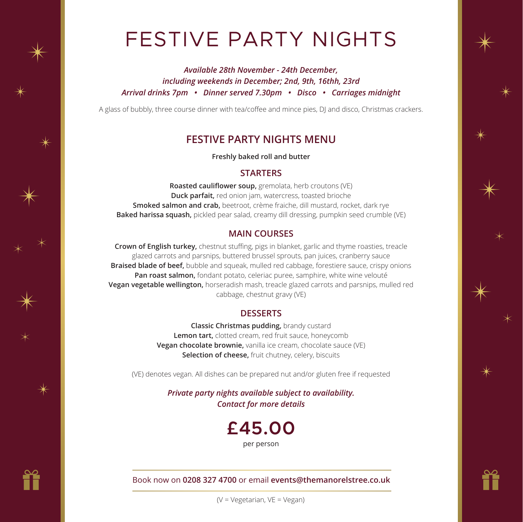# FESTIVE PARTY NIGHTS

*Available 28th November - 24th December, including weekends in December; 2nd, 9th, 16thh, 23rd Arrival drinks 7pm • Dinner served 7.30pm • Disco • Carriages midnight*

A glass of bubbly, three course dinner with tea/coffee and mince pies, DJ and disco, Christmas crackers.

## **FESTIVE PARTY NIGHTS MENU**

**Freshly baked roll and butter** 

#### **STARTERS**

**Roasted cauliflower soup,** gremolata, herb croutons (VE) **Duck parfait,** red onion jam, watercress, toasted brioche **Smoked salmon and crab,** beetroot, crème fraiche, dill mustard, rocket, dark rye **Baked harissa squash,** pickled pear salad, creamy dill dressing, pumpkin seed crumble (VE)

#### **MAIN COURSES**

**Crown of English turkey,** chestnut stuffing, pigs in blanket, garlic and thyme roasties, treacle glazed carrots and parsnips, buttered brussel sprouts, pan juices, cranberry sauce **Braised blade of beef,** bubble and squeak, mulled red cabbage, forestiere sauce, crispy onions **Pan roast salmon,** fondant potato, celeriac puree, samphire, white wine velouté **Vegan vegetable wellington,** horseradish mash, treacle glazed carrots and parsnips, mulled red cabbage, chestnut gravy (VE)

#### **DESSERTS**

**Classic Christmas pudding,** brandy custard **Lemon tart,** clotted cream, red fruit sauce, honeycomb **Vegan chocolate brownie,** vanilla ice cream, chocolate sauce (VE) **Selection of cheese,** fruit chutney, celery, biscuits

(VE) denotes vegan. All dishes can be prepared nut and/or gluten free if requested

*Private party nights available subject to availability. Contact for more details*

> **£45.00** per person

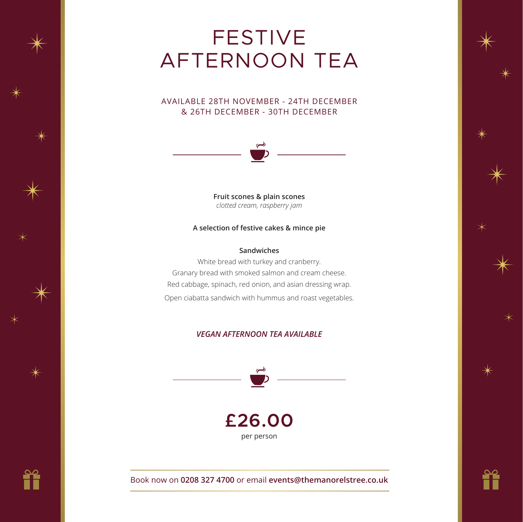# FESTIVE AFTERNOON TEA

### AVAILABLE 28TH NOVEMBER - 24TH DECEMBER & 26TH DECEMBER - 30TH DECEMBER



**Fruit scones & plain scones**  *clotted cream, raspberry jam*

#### **A selection of festive cakes & mince pie**

#### **Sandwiches**

White bread with turkey and cranberry. Granary bread with smoked salmon and cream cheese. Red cabbage, spinach, red onion, and asian dressing wrap. Open ciabatta sandwich with hummus and roast vegetables.

### *VEGAN AFTERNOON TEA AVAILABLE*

**£26.00** per person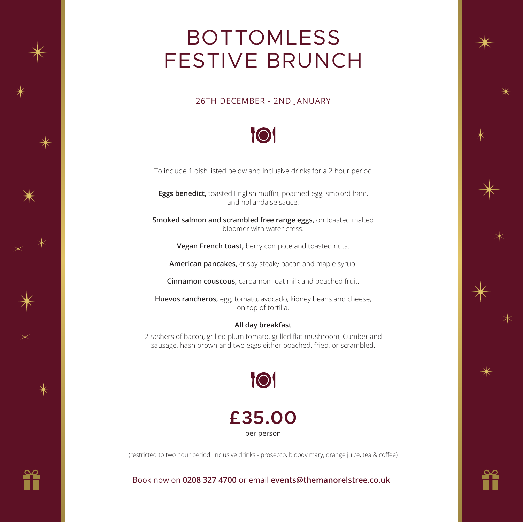# BOTTOMLESS FESTIVE BRUNCH

### 26TH DECEMBER - 2ND JANUARY

 $\overline{\phantom{a}}$   $\overline{\phantom{a}}$   $\overline{\phantom{a}}$   $\overline{\phantom{a}}$   $\overline{\phantom{a}}$   $\overline{\phantom{a}}$   $\overline{\phantom{a}}$   $\overline{\phantom{a}}$   $\overline{\phantom{a}}$   $\overline{\phantom{a}}$   $\overline{\phantom{a}}$   $\overline{\phantom{a}}$   $\overline{\phantom{a}}$   $\overline{\phantom{a}}$   $\overline{\phantom{a}}$   $\overline{\phantom{a}}$   $\overline{\phantom{a}}$   $\overline{\phantom{a}}$   $\overline{\$ 

To include 1 dish listed below and inclusive drinks for a 2 hour period

**Eggs benedict,** toasted English muffin, poached egg, smoked ham, and hollandaise sauce.

**Smoked salmon and scrambled free range eggs,** on toasted malted bloomer with water cress.

**Vegan French toast,** berry compote and toasted nuts.

**American pancakes,** crispy steaky bacon and maple syrup.

**Cinnamon couscous,** cardamom oat milk and poached fruit.

**Huevos rancheros,** egg, tomato, avocado, kidney beans and cheese, on top of tortilla.

#### **All day breakfast**

2 rashers of bacon, grilled plum tomato, grilled flat mushroom, Cumberland sausage, hash brown and two eggs either poached, fried, or scrambled.



(restricted to two hour period. Inclusive drinks - prosecco, bloody mary, orange juice, tea & coffee)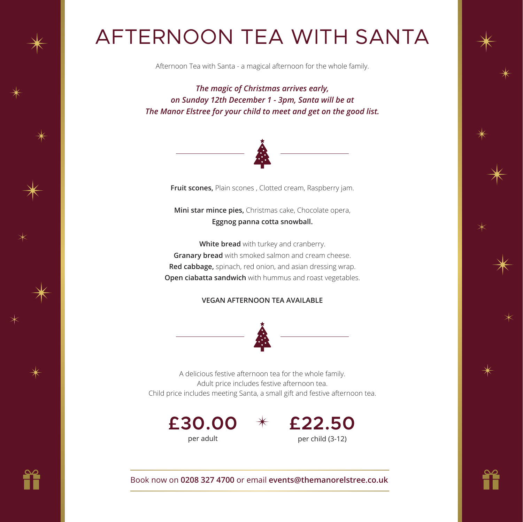# AFTERNOON TEA WITH SANTA

Afternoon Tea with Santa - a magical afternoon for the whole family.

*The magic of Christmas arrives early, on Sunday 12th December 1 - 3pm, Santa will be at The Manor Elstree for your child to meet and get on the good list.*



**Fruit scones,** Plain scones , Clotted cream, Raspberry jam.

**Mini star mince pies,** Christmas cake, Chocolate opera, **Eggnog panna cotta snowball.**

**White bread** with turkey and cranberry. **Granary bread** with smoked salmon and cream cheese. **Red cabbage,** spinach, red onion, and asian dressing wrap. **Open ciabatta sandwich** with hummus and roast vegetables.

#### **VEGAN AFTERNOON TEA AVAILABLE**



A delicious festive afternoon tea for the whole family. Adult price includes festive afternoon tea. Child price includes meeting Santa, a small gift and festive afternoon tea.

per adult

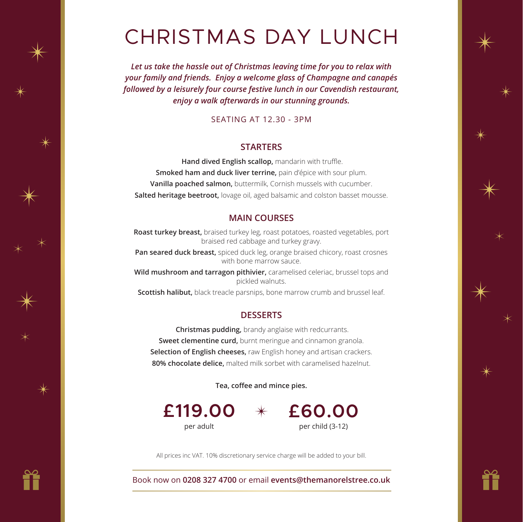# CHRISTMAS DAY LUNCH

*Let us take the hassle out of Christmas leaving time for you to relax with your family and friends. Enjoy a welcome glass of Champagne and canapés followed by a leisurely four course festive lunch in our Cavendish restaurant, enjoy a walk afterwards in our stunning grounds.*

SEATING AT 12.30 - 3PM

### **STARTERS**

 **Hand dived English scallop,** mandarin with truffle. **Smoked ham and duck liver terrine,** pain d'épice with sour plum. **Vanilla poached salmon,** buttermilk, Cornish mussels with cucumber. **Salted heritage beetroot,** lovage oil, aged balsamic and colston basset mousse.

## **MAIN COURSES**

**Roast turkey breast,** braised turkey leg, roast potatoes, roasted vegetables, port braised red cabbage and turkey gravy.

**Pan seared duck breast,** spiced duck leg, orange braised chicory, roast crosnes with hone marrow sauce.

**Wild mushroom and tarragon pithivier,** caramelised celeriac, brussel tops and pickled walnuts.

**Scottish halibut,** black treacle parsnips, bone marrow crumb and brussel leaf.

### **DESSERTS**

**Christmas pudding,** brandy anglaise with redcurrants. **Sweet clementine curd,** burnt meringue and cinnamon granola. **Selection of English cheeses,** raw English honey and artisan crackers. **80% chocolate delice,** malted milk sorbet with caramelised hazelnut.

**Tea, coffee and mince pies.**

**£119.00 £60.00** per adult

per child (3-12)

All prices inc VAT. 10% discretionary service charge will be added to your bill.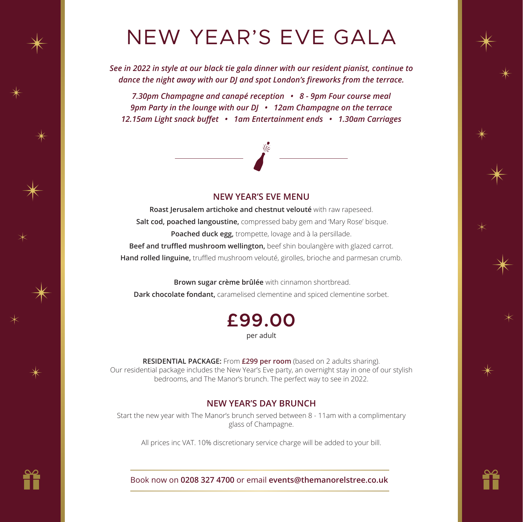## NEW YEAR'S EVE GALA

*See in 2022 in style at our black tie gala dinner with our resident pianist, continue to dance the night away with our DJ and spot London's fireworks from the terrace.*

*7.30pm Champagne and canapé reception • 8 - 9pm Four course meal 9pm Party in the lounge with our DJ • 12am Champagne on the terrace 12.15am Light snack buffet • 1am Entertainment ends • 1.30am Carriages*



### **NEW YEAR'S EVE MENU**

**Roast Jerusalem artichoke and chestnut velouté** with raw rapeseed.  **Salt cod, poached langoustine,** compressed baby gem and 'Mary Rose' bisque. **Poached duck egg,** trompette, lovage and à la persillade. **Beef and truffled mushroom wellington,** beef shin boulangère with glazed carrot. **Hand rolled linguine,** truffled mushroom velouté, girolles, brioche and parmesan crumb.

 **Brown sugar crème brûlée** with cinnamon shortbread. **Dark chocolate fondant,** caramelised clementine and spiced clementine sorbet.



**RESIDENTIAL PACKAGE:** From **£299 per room** (based on 2 adults sharing). Our residential package includes the New Year's Eve party, an overnight stay in one of our stylish bedrooms, and The Manor's brunch. The perfect way to see in 2022.

### **NEW YEAR'S DAY BRUNCH**

Start the new year with The Manor's brunch served between 8 - 11am with a complimentary glass of Champagne.

All prices inc VAT. 10% discretionary service charge will be added to your bill.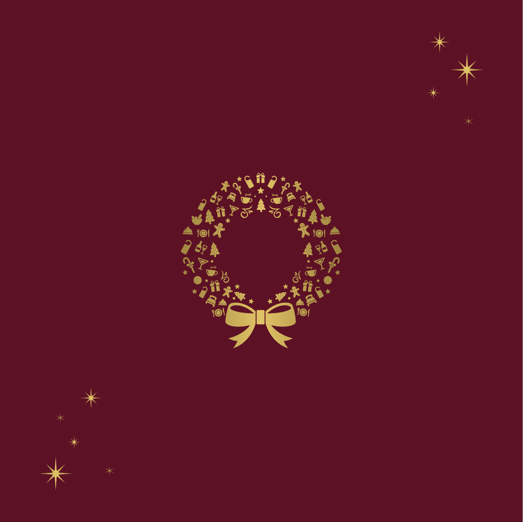